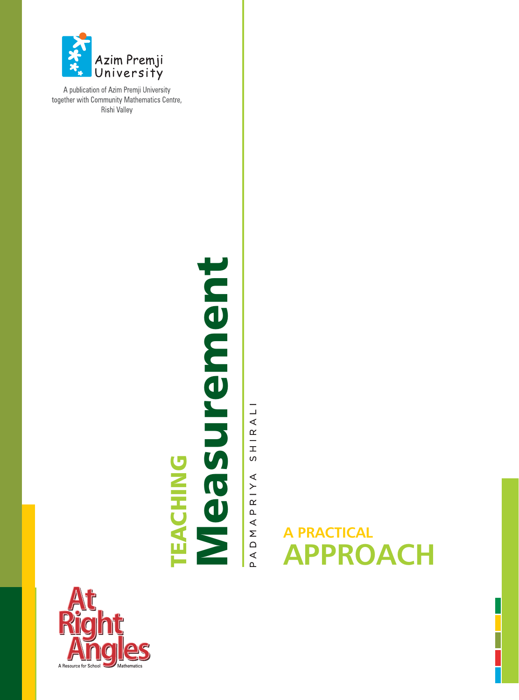

A publication of Azim Premji University together with Community Mathematics Centre, **Rishi Valley** 

# TEACHING<br>Measurement Measurement

HIRALI  $\sigma$ RIYA  $\Delta$  $\prec$  $\bar{\Sigma}$  $\mathop\square$  $\overline{A}$ 

# **A PRACTICAL APPROACH**

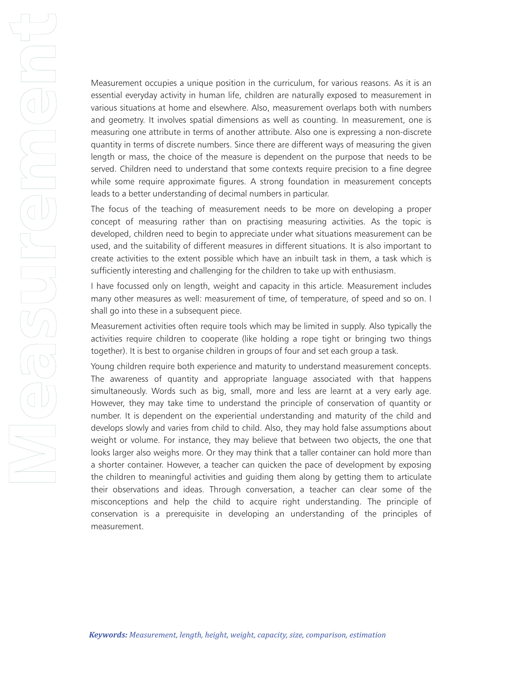Measurement occupies a unique position in the curriculum, for various reasons. As it is an essential everyday activity in human life, children are naturally exposed to measurement in various situations at home and elsewhere. Also, measurement overlaps both with numbers and geometry. It involves spatial dimensions as well as counting. In measurement, one is measuring one attribute in terms of another attribute. Also one is expressing a non-discrete quantity in terms of discrete numbers. Since there are different ways of measuring the given length or mass, the choice of the measure is dependent on the purpose that needs to be served. Children need to understand that some contexts require precision to a fine degree while some require approximate figures. A strong foundation in measurement concepts leads to a better understanding of decimal numbers in particular.

The focus of the teaching of measurement needs to be more on developing a proper concept of measuring rather than on practising measuring activities. As the topic is developed, children need to begin to appreciate under what situations measurement can be used, and the suitability of different measures in different situations. It is also important to create activities to the extent possible which have an inbuilt task in them, a task which is sufficiently interesting and challenging for the children to take up with enthusiasm.

I have focussed only on length, weight and capacity in this article. Measurement includes many other measures as well: measurement of time, of temperature, of speed and so on. I shall go into these in a subsequent piece.

Measurement activities often require tools which may be limited in supply. Also typically the activities require children to cooperate (like holding a rope tight or bringing two things together). It is best to organise children in groups of four and set each group a task.

Young children require both experience and maturity to understand measurement concepts. The awareness of quantity and appropriate language associated with that happens simultaneously. Words such as big, small, more and less are learnt at a very early age. However, they may take time to understand the principle of conservation of quantity or number. It is dependent on the experiential understanding and maturity of the child and develops slowly and varies from child to child. Also, they may hold false assumptions about weight or volume. For instance, they may believe that between two objects, the one that looks larger also weighs more. Or they may think that a taller container can hold more than a shorter container. However, a teacher can quicken the pace of development by exposing the children to meaningful activities and guiding them along by getting them to articulate their observations and ideas. Through conversation, a teacher can clear some of the misconceptions and help the child to acquire right understanding. The principle of conservation is a prerequisite in developing an understanding of the principles of measurement.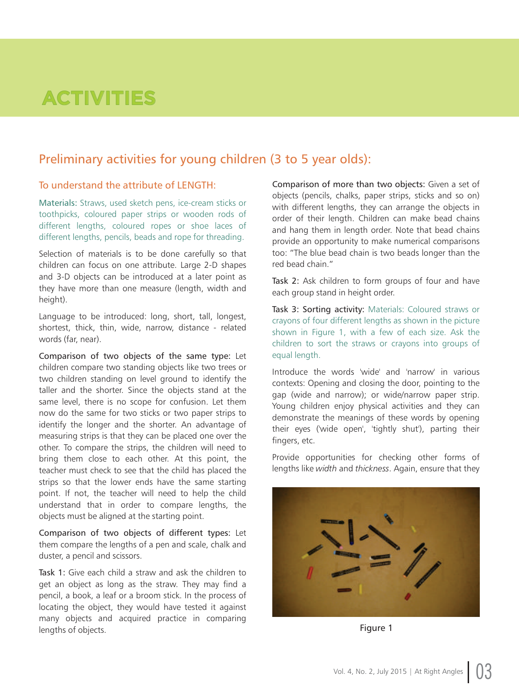# **ACTIVITIES**

## Preliminary activities for young children (3 to 5 year olds):

### To understand the attribute of LENGTH:

Materials: Straws, used sketch pens, ice-cream sticks or toothpicks, coloured paper strips or wooden rods of different lengths, coloured ropes or shoe laces of different lengths, pencils, beads and rope for threading.

Selection of materials is to be done carefully so that children can focus on one attribute. Large 2-D shapes and 3-D objects can be introduced at a later point as they have more than one measure (length, width and height).

Language to be introduced: long, short, tall, longest, shortest, thick, thin, wide, narrow, distance - related words (far, near).

Comparison of two objects of the same type: Let children compare two standing objects like two trees or two children standing on level ground to identify the taller and the shorter. Since the objects stand at the same level, there is no scope for confusion. Let them now do the same for two sticks or two paper strips to identify the longer and the shorter. An advantage of measuring strips is that they can be placed one over the other. To compare the strips, the children will need to bring them close to each other. At this point, the teacher must check to see that the child has placed the strips so that the lower ends have the same starting point. If not, the teacher will need to help the child understand that in order to compare lengths, the objects must be aligned at the starting point.

Comparison of two objects of different types: Let them compare the lengths of a pen and scale, chalk and duster, a pencil and scissors.

Task 1: Give each child a straw and ask the children to get an object as long as the straw. They may find a pencil, a book, a leaf or a broom stick. In the process of locating the object, they would have tested it against many objects and acquired practice in comparing lengths of objects.

Comparison of more than two objects: Given a set of objects (pencils, chalks, paper strips, sticks and so on) with different lengths, they can arrange the objects in order of their length. Children can make bead chains and hang them in length order. Note that bead chains provide an opportunity to make numerical comparisons too: "The blue bead chain is two beads longer than the red bead chain."

Task 2: Ask children to form groups of four and have each group stand in height order.

Task 3: Sorting activity: Materials: Coloured straws or crayons of four different lengths as shown in the picture shown in Figure 1, with a few of each size. Ask the children to sort the straws or crayons into groups of equal length.

Introduce the words 'wide' and 'narrow' in various contexts: Opening and closing the door, pointing to the gap (wide and narrow); or wide/narrow paper strip. Young children enjoy physical activities and they can demonstrate the meanings of these words by opening their eyes ('wide open', 'tightly shut'), parting their fingers, etc.

Provide opportunities for checking other forms of lengths like *width* and *thickness*. Again, ensure that they



Figure 1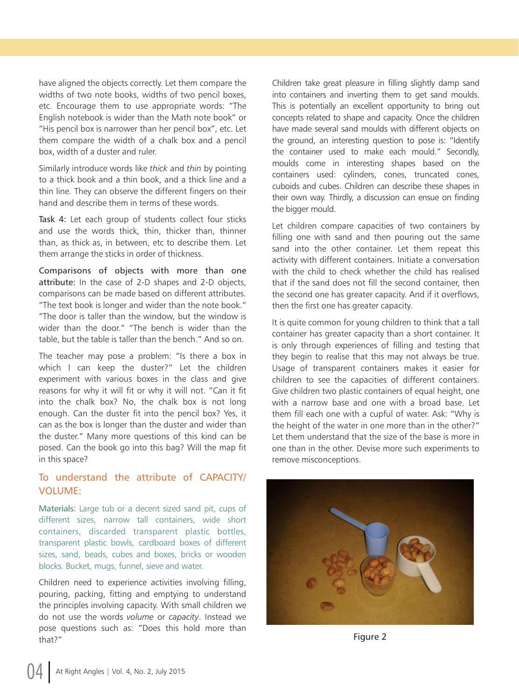have aligned the objects correctly. Let them compare the widths of two note books, widths of two pencil boxes, etc. Encourage them to use appropriate words: "The English notebook is wider than the Math note book" or "His pencil box is narrower than her pencil box", etc. Let them compare the width of a chalk box and a pencil box, width of a duster and ruler.

Similarly introduce words like *thick* and *thin* by pointing to a thick book and a thin book, and a thick line and a thin line. They can observe the different fingers on their hand and describe them in terms of these words.

Task 4: Let each group of students collect four sticks and use the words thick, thin, thicker than, thinner than, as thick as, in between, etc to describe them. Let them arrange the sticks in order of thickness.

Comparisons of objects with more than one attribute: In the case of 2-D shapes and 2-D objects, comparisons can be made based on different attributes. "The text book is longer and wider than the note book." The door is taller than the window, but the window is wider than the door." "The bench is wider than the table, but the table is taller than the bench." And so on.

The teacher may pose a problem: "Is there a box in which I can keep the duster?" Let the children experiment with various boxes in the class and give reasons for why it will fit or why it will not. "Can it fit into the chalk box? No, the chalk box is not long enough. Can the duster fit into the pencil box? Yes, it can as the box is longer than the duster and wider than the duster." Many more questions of this kind can be posed. Can the book go into this bag? Will the map fit in this space?

### To understand the attribute of CAPACITY/ VOLUME:

Materials: Large tub or a decent sized sand pit, cups of different sizes, narrow tall containers, wide short containers, discarded transparent plastic bottles, transparent plastic bowls, cardboard boxes of different sizes, sand, beads, cubes and boxes, bricks or wooden blocks. Bucket, mugs, funnel, sieve and water.

Children need to experience activities involving filling, pouring, packing, fitting and emptying to understand the principles involving capacity. With small children we do not use the words *volume* or *capacity*. Instead we pose questions such as: "Does this hold more than that?

Children take great pleasure in filling slightly damp sand into containers and inverting them to get sand moulds. This is potentially an excellent opportunity to bring out concepts related to shape and capacity. Once the children have made several sand moulds with different objects on the ground, an interesting question to pose is: "Identify the container used to make each mould." Secondly, moulds come in interesting shapes based on the containers used: cylinders, cones, truncated cones, cuboids and cubes. Children can describe these shapes in their own way. Thirdly, a discussion can ensue on finding the bigger mould.

Let children compare capacities of two containers by filling one with sand and then pouring out the same sand into the other container. Let them repeat this activity with different containers. Initiate a conversation with the child to check whether the child has realised that if the sand does not fill the second container, then the second one has greater capacity. And if it overflows, then the first one has greater capacity.

It is quite common for young children to think that a tall container has greater capacity than a short container. It is only through experiences of filling and testing that they begin to realise that this may not always be true. Usage of transparent containers makes it easier for children to see the capacities of different containers. Give children two plastic containers of equal height, one with a narrow base and one with a broad base. Let them fill each one with a cupful of water. Ask: Why is the height of the water in one more than in the other?" Let them understand that the size of the base is more in one than in the other. Devise more such experiments to remove misconceptions.



Figure 2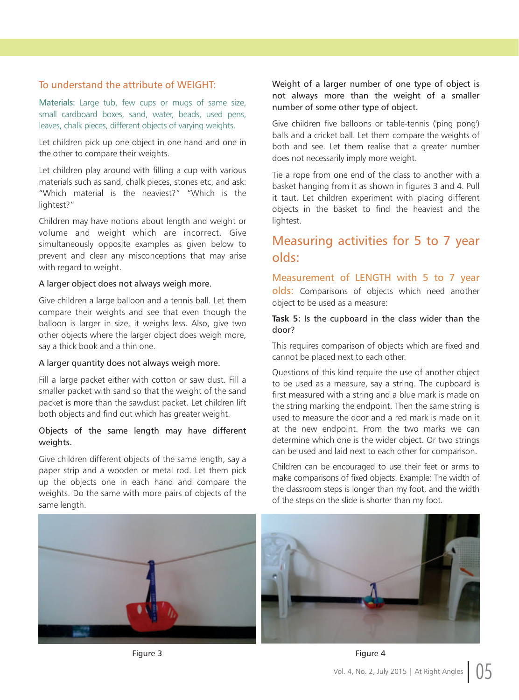### To understand the attribute of WEIGHT:

Materials: Large tub, few cups or mugs of same size, small cardboard boxes, sand, water, beads, used pens, leaves, chalk pieces, different objects of varying weights.

Let children pick up one object in one hand and one in the other to compare their weights.

Let children play around with filling a cup with various materials such as sand, chalk pieces, stones etc, and ask: "Which material is the heaviest?" "Which is the lightest?"

Children may have notions about length and weight or volume and weight which are incorrect. Give simultaneously opposite examples as given below to prevent and clear any misconceptions that may arise with regard to weight.

### A larger object does not always weigh more.

Give children a large balloon and a tennis ball. Let them compare their weights and see that even though the balloon is larger in size, it weighs less. Also, give two other objects where the larger object does weigh more, say a thick book and a thin one.

### A larger quantity does not always weigh more.

Fill a large packet either with cotton or saw dust. Fill a smaller packet with sand so that the weight of the sand packet is more than the sawdust packet. Let children lift both objects and find out which has greater weight.

### Objects of the same length may have different weights.

Give children different objects of the same length, say a paper strip and a wooden or metal rod. Let them pick up the objects one in each hand and compare the weights. Do the same with more pairs of objects of the same length.

Weight of a larger number of one type of object is not always more than the weight of a smaller number of some other type of object.

Give children five balloons or table-tennis ('ping pong') balls and a cricket ball. Let them compare the weights of both and see. Let them realise that a greater number does not necessarily imply more weight.

Tie a rope from one end of the class to another with a basket hanging from it as shown in figures 3 and 4. Pull it taut. Let children experiment with placing different objects in the basket to find the heaviest and the lightest.

# Measuring activities for 5 to 7 year olds:

Measurement of LENGTH with 5 to 7 year olds: Comparisons of objects which need another object to be used as a measure:

### **Task 5:** Is the cupboard in the class wider than the door?

This requires comparison of objects which are fixed and cannot be placed next to each other.

Questions of this kind require the use of another object to be used as a measure, say a string. The cupboard is first measured with a string and a blue mark is made on the string marking the endpoint. Then the same string is used to measure the door and a red mark is made on it at the new endpoint. From the two marks we can determine which one is the wider object. Or two strings can be used and laid next to each other for comparison.

Children can be encouraged to use their feet or arms to make comparisons of fixed objects. Example: The width of the classroom steps is longer than my foot, and the width of the steps on the slide is shorter than my foot.

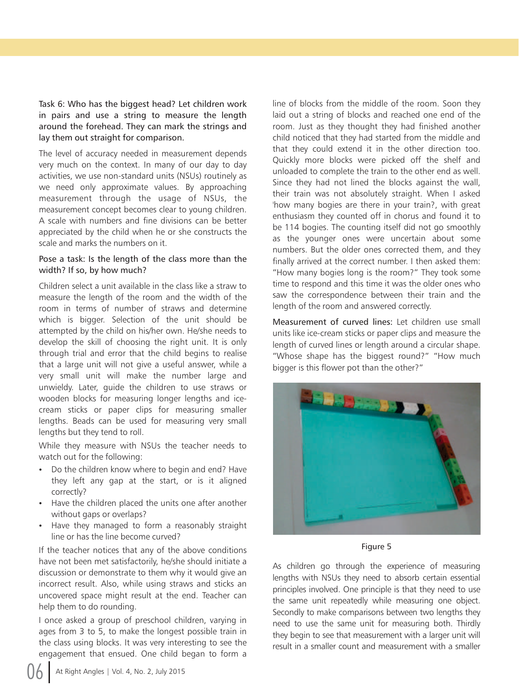Task 6: Who has the biggest head? Let children work in pairs and use a string to measure the length around the forehead. They can mark the strings and lay them out straight for comparison.

The level of accuracy needed in measurement depends very much on the context. In many of our day to day activities, we use non-standard units (NSUs) routinely as we need only approximate values. By approaching measurement through the usage of NSUs, the measurement concept becomes clear to young children. A scale with numbers and fine divisions can be better appreciated by the child when he or she constructs the scale and marks the numbers on it.

### Pose a task: Is the length of the class more than the width? If so, by how much?

Children select a unit available in the class like a straw to measure the length of the room and the width of the room in terms of number of straws and determine which is bigger. Selection of the unit should be attempted by the child on his/her own. He/she needs to develop the skill of choosing the right unit. It is only through trial and error that the child begins to realise that a large unit will not give a useful answer, while a very small unit will make the number large and unwieldy. Later, guide the children to use straws or wooden blocks for measuring longer lengths and icecream sticks or paper clips for measuring smaller lengths. Beads can be used for measuring very small lengths but they tend to roll.

While they measure with NSUs the teacher needs to watch out for the following:

- Do the children know where to begin and end? Have they left any gap at the start, or is it aligned correctly?
- Have the children placed the units one after another without gaps or overlaps?
- Have they managed to form a reasonably straight line or has the line become curved?

If the teacher notices that any of the above conditions have not been met satisfactorily, he/she should initiate a discussion or demonstrate to them why it would give an incorrect result. Also, while using straws and sticks an uncovered space might result at the end. Teacher can help them to do rounding.

I once asked a group of preschool children, varying in ages from 3 to 5, to make the longest possible train in the class using blocks. It was very interesting to see the engagement that ensued. One child began to form a

line of blocks from the middle of the room. Soon they laid out a string of blocks and reached one end of the room. Just as they thought they had finished another child noticed that they had started from the middle and that they could extend it in the other direction too. Quickly more blocks were picked off the shelf and unloaded to complete the train to the other end as well. Since they had not lined the blocks against the wall, their train was not absolutely straight. When I asked 'how many bogies are there in your train?, with great enthusiasm they counted off in chorus and found it to be 114 bogies. The counting itself did not go smoothly as the younger ones were uncertain about some numbers. But the older ones corrected them, and they finally arrived at the correct number. I then asked them: "How many bogies long is the room?" They took some time to respond and this time it was the older ones who saw the correspondence between their train and the length of the room and answered correctly.

Measurement of curved lines: Let children use small units like ice-cream sticks or paper clips and measure the length of curved lines or length around a circular shape. "Whose shape has the biggest round?" "How much bigger is this flower pot than the other?"



Figure 5

As children go through the experience of measuring lengths with NSUs they need to absorb certain essential principles involved. One principle is that they need to use the same unit repeatedly while measuring one object. Secondly to make comparisons between two lengths they need to use the same unit for measuring both. Thirdly they begin to see that measurement with a larger unit will result in a smaller count and measurement with a smaller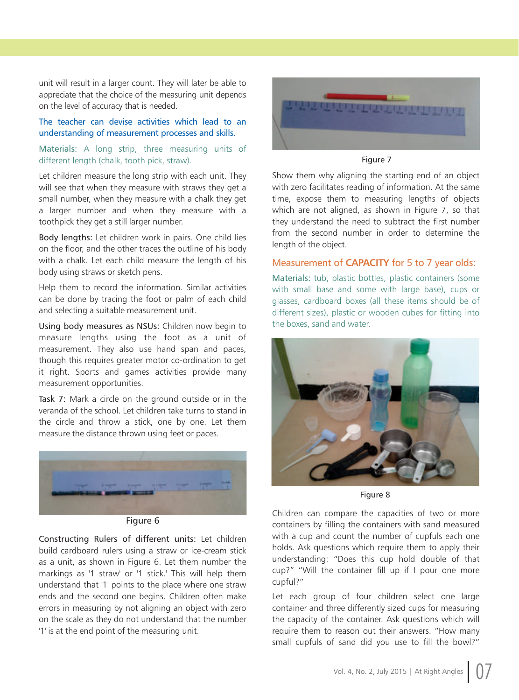unit will result in a larger count. They will later be able to appreciate that the choice of the measuring unit depends on the level of accuracy that is needed.

### The teacher can devise activities which lead to an understanding of measurement processes and skills.

Materials: A long strip, three measuring units of different length (chalk, tooth pick, straw).

Let children measure the long strip with each unit. They will see that when they measure with straws they get a small number, when they measure with a chalk they get a larger number and when they measure with a toothpick they get a still larger number.

Body lengths: Let children work in pairs. One child lies on the floor, and the other traces the outline of his body with a chalk. Let each child measure the length of his body using straws or sketch pens.

Help them to record the information. Similar activities can be done by tracing the foot or palm of each child and selecting a suitable measurement unit.

Using body measures as NSUs: Children now begin to measure lengths using the foot as a unit of measurement. They also use hand span and paces, though this requires greater motor co-ordination to get it right. Sports and games activities provide many measurement opportunities.

Task 7: Mark a circle on the ground outside or in the veranda of the school. Let children take turns to stand in the circle and throw a stick, one by one. Let them measure the distance thrown using feet or paces.



Figure 6

Constructing Rulers of different units: Let children build cardboard rulers using a straw or ice-cream stick as a unit, as shown in Figure 6. Let them number the markings as '1 straw' or '1 stick.' This will help them understand that '1' points to the place where one straw ends and the second one begins. Children often make errors in measuring by not aligning an object with zero on the scale as they do not understand that the number '1' is at the end point of the measuring unit.



Figure 7

Show them why aligning the starting end of an object with zero facilitates reading of information. At the same time, expose them to measuring lengths of objects which are not aligned, as shown in Figure 7, so that they understand the need to subtract the first number from the second number in order to determine the length of the object.

### Measurement of **CAPACITY** for 5 to 7 year olds:

Materials: tub, plastic bottles, plastic containers (some with small base and some with large base), cups or glasses, cardboard boxes (all these items should be of different sizes), plastic or wooden cubes for fitting into the boxes, sand and water.



Figure 8

Children can compare the capacities of two or more containers by filling the containers with sand measured with a cup and count the number of cupfuls each one holds. Ask questions which require them to apply their understanding: "Does this cup hold double of that cup?" "Will the container fill up if I pour one more cupful?

Let each group of four children select one large container and three differently sized cups for measuring the capacity of the container. Ask questions which will require them to reason out their answers. "How many small cupfuls of sand did you use to fill the bowl?"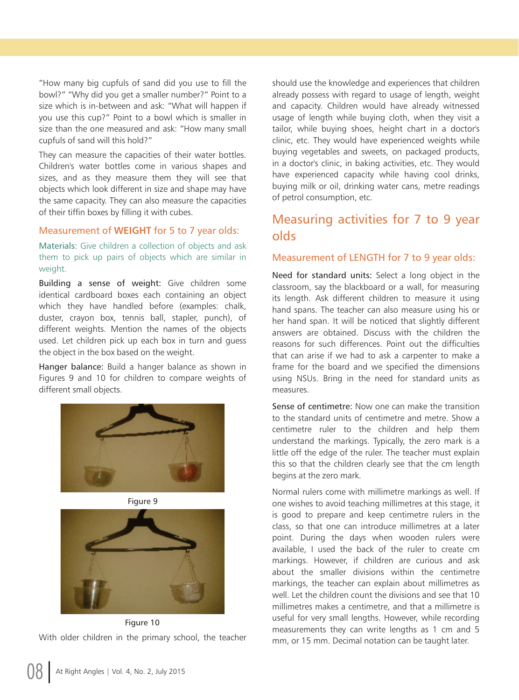How many big cupfuls of sand did you use to fill the bowl?" "Why did you get a smaller number?" Point to a size which is in-between and ask: "What will happen if you use this cup?" Point to a bowl which is smaller in size than the one measured and ask: "How many small cupfuls of sand will this hold?

They can measure the capacities of their water bottles. Children's water bottles come in various shapes and sizes, and as they measure them they will see that objects which look different in size and shape may have the same capacity. They can also measure the capacities of their tiffin boxes by filling it with cubes.

### Measurement of **WEIGHT** for 5 to 7 year olds:

Materials: Give children a collection of objects and ask them to pick up pairs of objects which are similar in weight.

Building a sense of weight: Give children some identical cardboard boxes each containing an object which they have handled before (examples: chalk, duster, crayon box, tennis ball, stapler, punch), of different weights. Mention the names of the objects used. Let children pick up each box in turn and guess the object in the box based on the weight.

Hanger balance: Build a hanger balance as shown in Figures 9 and 10 for children to compare weights of different small objects.





With older children in the primary school, the teacher Figure 10

should use the knowledge and experiences that children already possess with regard to usage of length, weight and capacity. Children would have already witnessed usage of length while buying cloth, when they visit a tailor, while buying shoes, height chart in a doctor's clinic, etc. They would have experienced weights while buying vegetables and sweets, on packaged products, in a doctor's clinic, in baking activities, etc. They would have experienced capacity while having cool drinks, buying milk or oil, drinking water cans, metre readings of petrol consumption, etc.

# Measuring activities for 7 to 9 year olds

### Measurement of LENGTH for 7 to 9 year olds:

Need for standard units: Select a long object in the classroom, say the blackboard or a wall, for measuring its length. Ask different children to measure it using hand spans. The teacher can also measure using his or her hand span. It will be noticed that slightly different answers are obtained. Discuss with the children the reasons for such differences. Point out the difficulties that can arise if we had to ask a carpenter to make a frame for the board and we specified the dimensions using NSUs. Bring in the need for standard units as measures.

Sense of centimetre: Now one can make the transition to the standard units of centimetre and metre. Show a centimetre ruler to the children and help them understand the markings. Typically, the zero mark is a little off the edge of the ruler. The teacher must explain this so that the children clearly see that the cm length begins at the zero mark.

Normal rulers come with millimetre markings as well. If one wishes to avoid teaching millimetres at this stage, it is good to prepare and keep centimetre rulers in the class, so that one can introduce millimetres at a later point. During the days when wooden rulers were available, I used the back of the ruler to create cm markings. However, if children are curious and ask about the smaller divisions within the centimetre markings, the teacher can explain about millimetres as well. Let the children count the divisions and see that 10 millimetres makes a centimetre, and that a millimetre is useful for very small lengths. However, while recording measurements they can write lengths as 1 cm and 5 mm, or 15 mm. Decimal notation can be taught later.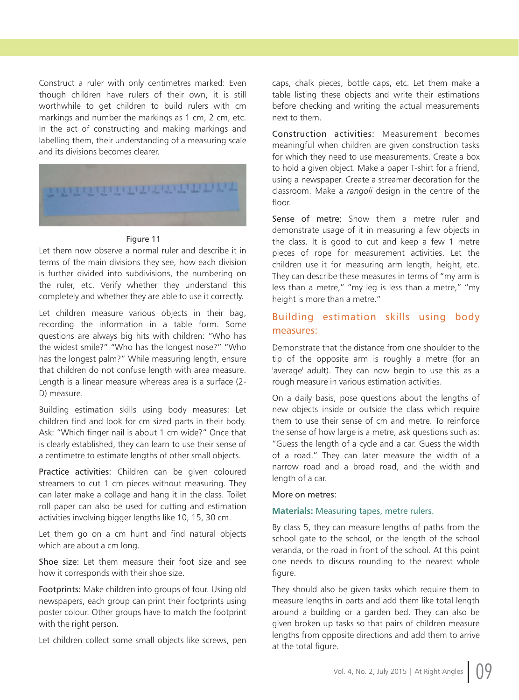Construct a ruler with only centimetres marked: Even though children have rulers of their own, it is still worthwhile to get children to build rulers with cm markings and number the markings as 1 cm, 2 cm, etc. In the act of constructing and making markings and labelling them, their understanding of a measuring scale and its divisions becomes clearer.



### Figure 11

Let them now observe a normal ruler and describe it in terms of the main divisions they see, how each division is further divided into subdivisions, the numbering on the ruler, etc. Verify whether they understand this completely and whether they are able to use it correctly.

Let children measure various objects in their bag, recording the information in a table form. Some questions are always big hits with children: "Who has the widest smile?" "Who has the longest nose?" "Who has the longest palm?" While measuring length, ensure that children do not confuse length with area measure. Length is a linear measure whereas area is a surface (2- D) measure.

Building estimation skills using body measures: Let children find and look for cm sized parts in their body. Ask: "Which finger nail is about 1 cm wide?" Once that is clearly established, they can learn to use their sense of a centimetre to estimate lengths of other small objects.

Practice activities: Children can be given coloured streamers to cut 1 cm pieces without measuring. They can later make a collage and hang it in the class. Toilet roll paper can also be used for cutting and estimation activities involving bigger lengths like 10, 15, 30 cm.

Let them go on a cm hunt and find natural objects which are about a cm long.

Shoe size: Let them measure their foot size and see how it corresponds with their shoe size.

Footprints: Make children into groups of four. Using old newspapers, each group can print their footprints using poster colour. Other groups have to match the footprint with the right person.

Let children collect some small objects like screws, pen

caps, chalk pieces, bottle caps, etc. Let them make a table listing these objects and write their estimations before checking and writing the actual measurements next to them.

Construction activities: Measurement becomes meaningful when children are given construction tasks for which they need to use measurements. Create a box to hold a given object. Make a paper T-shirt for a friend, using a newspaper. Create a streamer decoration for the classroom. Make a *rangoli* design in the centre of the floor.

Sense of metre: Show them a metre ruler and demonstrate usage of it in measuring a few objects in the class. It is good to cut and keep a few 1 metre pieces of rope for measurement activities. Let the children use it for measuring arm length, height, etc. They can describe these measures in terms of "my arm is less than a metre," "my leg is less than a metre," "my height is more than a metre."

### Building estimation skills using body measures:

Demonstrate that the distance from one shoulder to the tip of the opposite arm is roughly a metre (for an 'average' adult). They can now begin to use this as a rough measure in various estimation activities.

On a daily basis, pose questions about the lengths of new objects inside or outside the class which require them to use their sense of cm and metre. To reinforce the sense of how large is a metre, ask questions such as: Guess the length of a cycle and a car. Guess the width of a road." They can later measure the width of a narrow road and a broad road, and the width and length of a car.

### More on metres:

### **Materials:** Measuring tapes, metre rulers.

By class 5, they can measure lengths of paths from the school gate to the school, or the length of the school veranda, or the road in front of the school. At this point one needs to discuss rounding to the nearest whole figure.

They should also be given tasks which require them to measure lengths in parts and add them like total length around a building or a garden bed. They can also be given broken up tasks so that pairs of children measure lengths from opposite directions and add them to arrive at the total figure.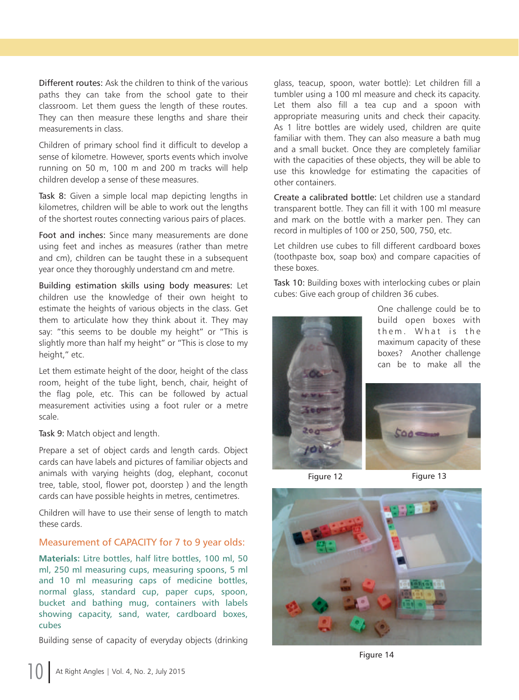Different routes: Ask the children to think of the various paths they can take from the school gate to their classroom. Let them guess the length of these routes. They can then measure these lengths and share their measurements in class.

Children of primary school find it difficult to develop a sense of kilometre. However, sports events which involve running on 50 m, 100 m and 200 m tracks will help children develop a sense of these measures.

Task 8: Given a simple local map depicting lengths in kilometres, children will be able to work out the lengths of the shortest routes connecting various pairs of places.

Foot and inches: Since many measurements are done using feet and inches as measures (rather than metre and cm), children can be taught these in a subsequent year once they thoroughly understand cm and metre.

Building estimation skills using body measures: Let children use the knowledge of their own height to estimate the heights of various objects in the class. Get them to articulate how they think about it. They may say: "this seems to be double my height" or "This is slightly more than half my height" or "This is close to my height," etc.

Let them estimate height of the door, height of the class room, height of the tube light, bench, chair, height of the flag pole, etc. This can be followed by actual measurement activities using a foot ruler or a metre scale.

Task 9: Match object and length.

Prepare a set of object cards and length cards. Object cards can have labels and pictures of familiar objects and animals with varying heights (dog, elephant, coconut tree, table, stool, flower pot, doorstep ) and the length cards can have possible heights in metres, centimetres.

Children will have to use their sense of length to match these cards.

### Measurement of CAPACITY for 7 to 9 year olds:

**Materials:** Litre bottles, half litre bottles, 100 ml, 50 ml, 250 ml measuring cups, measuring spoons, 5 ml and 10 ml measuring caps of medicine bottles, normal glass, standard cup, paper cups, spoon, bucket and bathing mug, containers with labels showing capacity, sand, water, cardboard boxes, cubes

Building sense of capacity of everyday objects (drinking

glass, teacup, spoon, water bottle): Let children fill a tumbler using a 100 ml measure and check its capacity. Let them also fill a tea cup and a spoon with appropriate measuring units and check their capacity. As 1 litre bottles are widely used, children are quite familiar with them. They can also measure a bath mug and a small bucket. Once they are completely familiar with the capacities of these objects, they will be able to use this knowledge for estimating the capacities of other containers.

Create a calibrated bottle: Let children use a standard transparent bottle. They can fill it with 100 ml measure and mark on the bottle with a marker pen. They can record in multiples of 100 or 250, 500, 750, etc.

Let children use cubes to fill different cardboard boxes (toothpaste box, soap box) and compare capacities of these boxes.

Task 10: Building boxes with interlocking cubes or plain cubes: Give each group of children 36 cubes.



One challenge could be to build open boxes with them. What is the maximum capacity of these boxes? Another challenge can be to make all the



Figure 12 Figure 13



Figure 14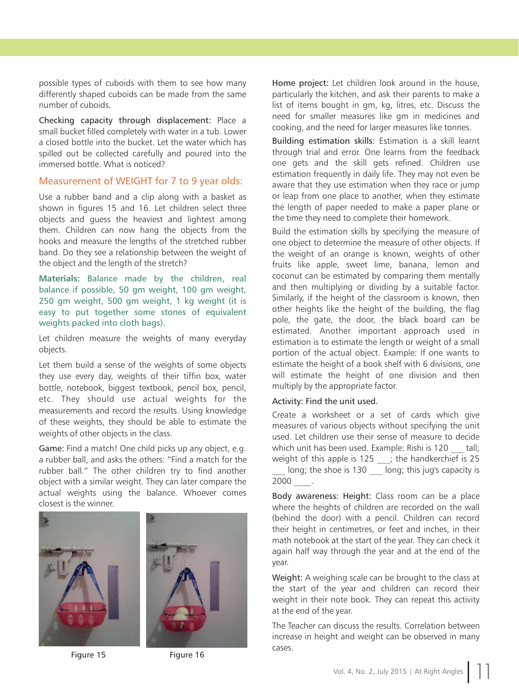possible types of cuboids with them to see how many differently shaped cuboids can be made from the same number of cuboids.

Checking capacity through displacement: Place a small bucket filled completely with water in a tub. Lower a closed bottle into the bucket. Let the water which has spilled out be collected carefully and poured into the immersed bottle. What is noticed?

### Measurement of WEIGHT for 7 to 9 year olds:

Use a rubber band and a clip along with a basket as shown in figures 15 and 16. Let children select three objects and guess the heaviest and lightest among them. Children can now hang the objects from the hooks and measure the lengths of the stretched rubber band. Do they see a relationship between the weight of the object and the length of the stretch?

**Materials:** Balance made by the children, real balance if possible, 50 gm weight, 100 gm weight, 250 gm weight, 500 gm weight, 1 kg weight (it is easy to put together some stones of equivalent weights packed into cloth bags).

Let children measure the weights of many everyday objects.

Let them build a sense of the weights of some objects they use every day, weights of their tiffin box, water bottle, notebook, biggest textbook, pencil box, pencil, etc. They should use actual weights for the measurements and record the results. Using knowledge of these weights, they should be able to estimate the weights of other objects in the class.

Game: Find a match! One child picks up any object, e.g. a rubber ball, and asks the others: "Find a match for the rubber ball." The other children try to find another object with a similar weight. They can later compare the actual weights using the balance. Whoever comes closest is the winner.





Figure 15 Figure 16

Home project: Let children look around in the house, particularly the kitchen, and ask their parents to make a list of items bought in gm, kg, litres, etc. Discuss the need for smaller measures like gm in medicines and cooking, and the need for larger measures like tonnes.

Building estimation skills: Estimation is a skill learnt through trial and error. One learns from the feedback one gets and the skill gets refined. Children use estimation frequently in daily life. They may not even be aware that they use estimation when they race or jump or leap from one place to another, when they estimate the length of paper needed to make a paper plane or the time they need to complete their homework.

Build the estimation skills by specifying the measure of one object to determine the measure of other objects. If the weight of an orange is known, weights of other fruits like apple, sweet lime, banana, lemon and coconut can be estimated by comparing them mentally and then multiplying or dividing by a suitable factor. Similarly, if the height of the classroom is known, then other heights like the height of the building, the flag pole, the gate, the door, the black board can be estimated. Another important approach used in estimation is to estimate the length or weight of a small portion of the actual object. Example: If one wants to estimate the height of a book shelf with 6 divisions, one will estimate the height of one division and then multiply by the appropriate factor.

### Activity: Find the unit used.

Create a worksheet or a set of cards which give measures of various objects without specifying the unit used. Let children use their sense of measure to decide which unit has been used. Example: Rishi is 120 tall; weight of this apple is  $125$  ; the handkerchief is 25

long; the shoe is 130 long; this jug's capacity is 2000 \_\_\_\_.

Body awareness: Height: Class room can be a place where the heights of children are recorded on the wall (behind the door) with a pencil. Children can record their height in centimetres, or feet and inches, in their math notebook at the start of the year. They can check it again half way through the year and at the end of the year.

Weight: A weighing scale can be brought to the class at the start of the year and children can record their weight in their note book. They can repeat this activity at the end of the year.

The Teacher can discuss the results. Correlation between increase in height and weight can be observed in many cases.